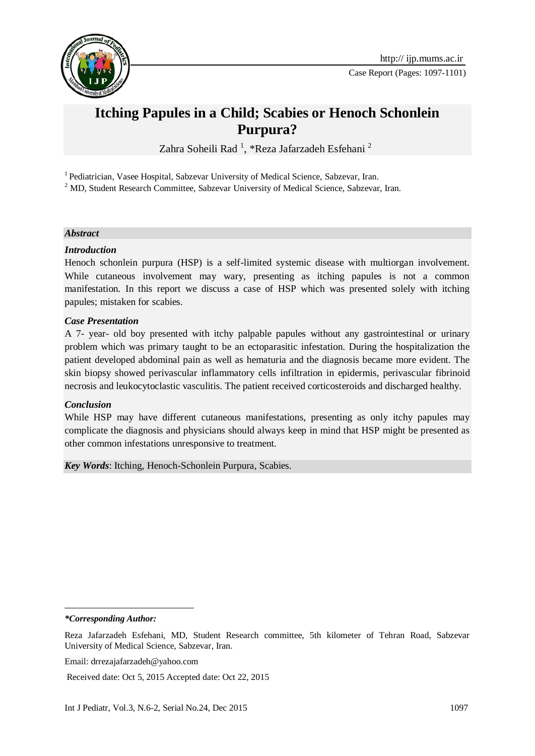

# **Itching Papules in a Child; Scabies or Henoch Schonlein Purpura?**

Zahra Soheili Rad<sup>1</sup>, \*Reza Jafarzadeh Esfehani<sup>2</sup>

<sup>1</sup> Pediatrician, Vasee Hospital, Sabzevar University of Medical Science, Sabzevar, Iran.

<sup>2</sup> MD, Student Research Committee, Sabzevar University of Medical Science, Sabzevar, Iran.

#### *Abstract*

#### *Introduction*

Henoch schonlein purpura (HSP) is a self-limited systemic disease with multiorgan involvement. While cutaneous involvement may wary, presenting as itching papules is not a common manifestation. In this report we discuss a case of HSP which was presented solely with itching papules; mistaken for scabies.

#### *Case Presentation*

A 7- year- old boy presented with itchy palpable papules without any gastrointestinal or urinary problem which was primary taught to be an ectoparasitic infestation. During the hospitalization the patient developed abdominal pain as well as hematuria and the diagnosis became more evident. The skin biopsy showed perivascular inflammatory cells infiltration in epidermis, perivascular fibrinoid necrosis and leukocytoclastic vasculitis. The patient received corticosteroids and discharged healthy.

#### *Conclusion*

While HSP may have different cutaneous manifestations, presenting as only itchy papules may complicate the diagnosis and physicians should always keep in mind that HSP might be presented as other common infestations unresponsive to treatment.

*Key Words*: Itching, Henoch-Schonlein Purpura, Scabies.

*\*Corresponding Author:*

1

Reza Jafarzadeh Esfehani, MD, Student Research committee, 5th kilometer of Tehran Road, Sabzevar University of Medical Science, Sabzevar, Iran.

Email: [drrezajafarzadeh@yahoo.com](mailto:drrezajafarzadeh@yahoo.com)

Received date: Oct 5, 2015 Accepted date: Oct 22, 2015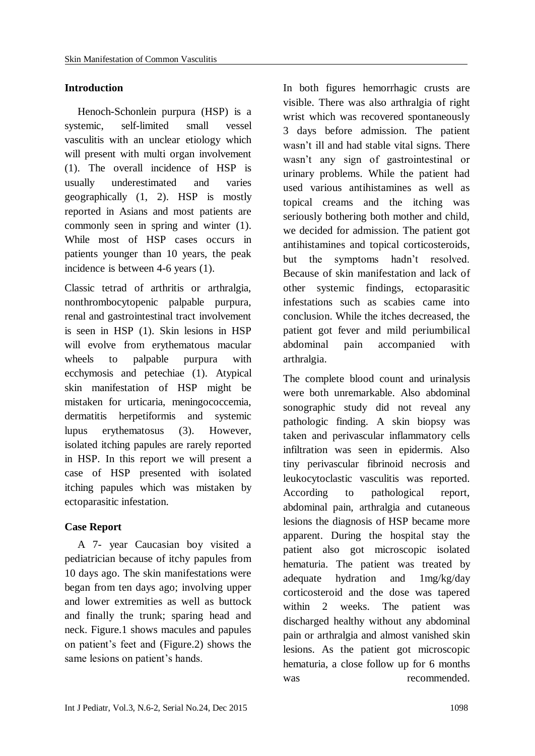### **Introduction**

Henoch-Schonlein purpura (HSP) is a systemic, self-limited small vessel vasculitis with an unclear etiology which will present with multi organ involvement [\(1\)](#page-3-0). The overall incidence of HSP is usually underestimated and varies geographically [\(1,](#page-3-0) [2\)](#page-3-1). HSP is mostly reported in Asians and most patients are commonly seen in spring and winter [\(1\)](#page-3-0). While most of HSP cases occurs in patients younger than 10 years, the peak incidence is between 4-6 years [\(1\)](#page-3-0).

Classic tetrad of arthritis or arthralgia, nonthrombocytopenic palpable purpura, renal and gastrointestinal tract involvement is seen in HSP [\(1\)](#page-3-0). Skin lesions in HSP will evolve from erythematous macular wheels to palpable purpura with ecchymosis and petechiae [\(1\)](#page-3-0). Atypical skin manifestation of HSP might be mistaken for urticaria, meningococcemia, dermatitis herpetiformis and systemic lupus erythematosus [\(3\)](#page-4-0). However, isolated itching papules are rarely reported in HSP. In this report we will present a case of HSP presented with isolated itching papules which was mistaken by ectoparasitic infestation.

# **Case Report**

A 7- year Caucasian boy visited a pediatrician because of itchy papules from 10 days ago. The skin manifestations were began from ten days ago; involving upper and lower extremities as well as buttock and finally the trunk; sparing head and neck. Figure.1 shows macules and papules on patient's feet and (Figure.2) shows the same lesions on patient's hands.

In both figures hemorrhagic crusts are visible. There was also arthralgia of right wrist which was recovered spontaneously 3 days before admission. The patient wasn't ill and had stable vital signs. There wasn't any sign of gastrointestinal or urinary problems. While the patient had used various antihistamines as well as topical creams and the itching was seriously bothering both mother and child, we decided for admission. The patient got antihistamines and topical corticosteroids, but the symptoms hadn't resolved. Because of skin manifestation and lack of other systemic findings, ectoparasitic infestations such as scabies came into conclusion. While the itches decreased, the patient got fever and mild periumbilical abdominal pain accompanied with arthralgia.

The complete blood count and urinalysis were both unremarkable. Also abdominal sonographic study did not reveal any pathologic finding. A skin biopsy was taken and perivascular inflammatory cells infiltration was seen in epidermis. Also tiny perivascular fibrinoid necrosis and leukocytoclastic vasculitis was reported. According to pathological report, abdominal pain, arthralgia and cutaneous lesions the diagnosis of HSP became more apparent. During the hospital stay the patient also got microscopic isolated hematuria. The patient was treated by adequate hydration and 1mg/kg/day corticosteroid and the dose was tapered within 2 weeks. The patient was discharged healthy without any abdominal pain or arthralgia and almost vanished skin lesions. As the patient got microscopic hematuria, a close follow up for 6 months was recommended.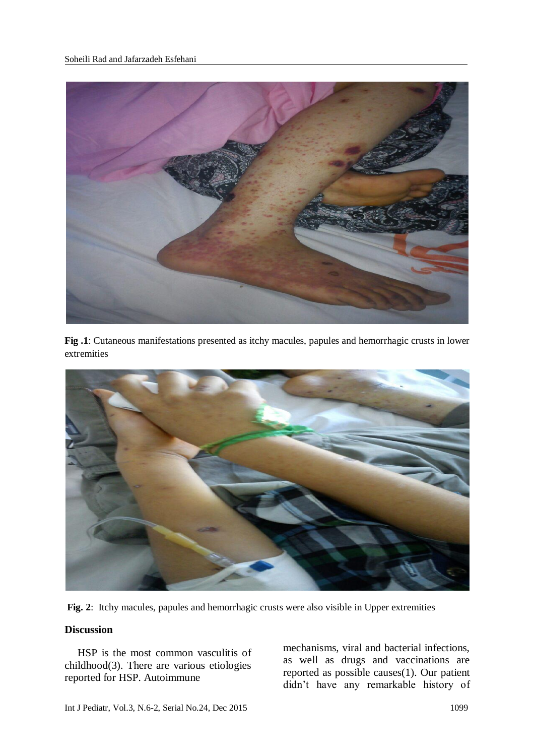

**Fig .1**: Cutaneous manifestations presented as itchy macules, papules and hemorrhagic crusts in lower extremities



**Fig. 2**: Itchy macules, papules and hemorrhagic crusts were also visible in Upper extremities

### **Discussion**

HSP is the most common vasculitis of childhood[\(3\)](#page-4-0). There are various etiologies reported for HSP. Autoimmune

mechanisms, viral and bacterial infections, as well as drugs and vaccinations are reported as possible causes[\(1\)](#page-3-0). Our patient didn't have any remarkable history of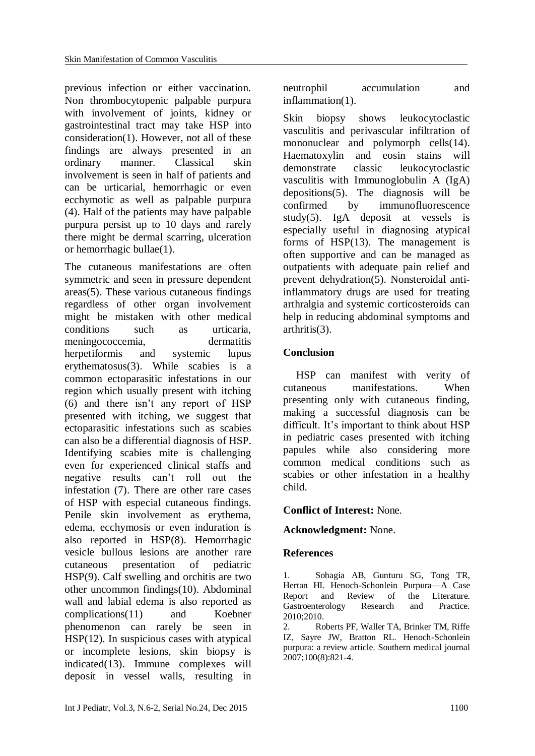previous infection or either vaccination. Non thrombocytopenic palpable purpura with involvement of joints, kidney or gastrointestinal tract may take HSP into consideration[\(1\)](#page-3-0). However, not all of these findings are always presented in an ordinary manner. Classical skin involvement is seen in half of patients and can be urticarial, hemorrhagic or even ecchymotic as well as palpable purpura [\(4\)](#page-4-1). Half of the patients may have palpable purpura persist up to 10 days and rarely there might be dermal scarring, ulceration or hemorrhagic bullae[\(1\)](#page-3-0).

The cutaneous manifestations are often symmetric and seen in pressure dependent areas[\(5\)](#page-4-2). These various cutaneous findings regardless of other organ involvement might be mistaken with other medical conditions such as urticaria, meningococcemia, dermatitis herpetiformis and systemic lupus erythematosus[\(3\)](#page-4-0). While scabies is a common ectoparasitic infestations in our region which usually present with itching [\(6\)](#page-4-3) and there isn't any report of HSP presented with itching, we suggest that ectoparasitic infestations such as scabies can also be a differential diagnosis of HSP. Identifying scabies mite is challenging even for experienced clinical staffs and negative results can't roll out the infestation [\(7\)](#page-4-4). There are other rare cases of HSP with especial cutaneous findings. Penile skin involvement as erythema, edema, ecchymosis or even induration is also reported in HSP[\(8\)](#page-4-5). Hemorrhagic vesicle bullous lesions are another rare cutaneous presentation of pediatric HSP[\(9\)](#page-4-6). Calf swelling and orchitis are two other uncommon findings[\(10\)](#page-4-7). Abdominal wall and labial edema is also reported as complications[\(11\)](#page-4-8) and Koebner phenomenon can rarely be seen in HSP[\(12\)](#page-4-9). In suspicious cases with atypical or incomplete lesions, skin biopsy is indicated[\(13\)](#page-4-10). Immune complexes will deposit in vessel walls, resulting in neutrophil accumulation and inflammation[\(1\)](#page-3-0).

Skin biopsy shows leukocytoclastic vasculitis and perivascular infiltration of mononuclear and polymorph cells[\(14\)](#page-4-11). Haematoxylin and eosin stains will demonstrate classic leukocytoclastic vasculitis with Immunoglobulin A (IgA) depositions[\(5\)](#page-4-2). The diagnosis will be confirmed by immunofluorescence study[\(5\)](#page-4-2). IgA deposit at vessels is especially useful in diagnosing atypical forms of HSP[\(13\)](#page-4-10). The management is often supportive and can be managed as outpatients with adequate pain relief and prevent dehydration[\(5\)](#page-4-2). Nonsteroidal antiinflammatory drugs are used for treating arthralgia and systemic corticosteroids can help in reducing abdominal symptoms and arthritis[\(3\)](#page-4-0).

### **Conclusion**

HSP can manifest with verity of cutaneous manifestations. When presenting only with cutaneous finding, making a successful diagnosis can be difficult. It's important to think about HSP in pediatric cases presented with itching papules while also considering more common medical conditions such as scabies or other infestation in a healthy child.

# **Conflict of Interest:** None.

### **Acknowledgment:** None.

# **References**

<span id="page-3-0"></span>1. Sohagia AB, Gunturu SG, Tong TR, Hertan HI. Henoch-Schonlein Purpura—A Case Report and Review of the Literature. Gastroenterology Research and Practice. 2010;2010.

<span id="page-3-1"></span>2. Roberts PF, Waller TA, Brinker TM, Riffe IZ, Sayre JW, Bratton RL. Henoch-Schonlein purpura: a review article. Southern medical journal 2007;100(8):821-4.